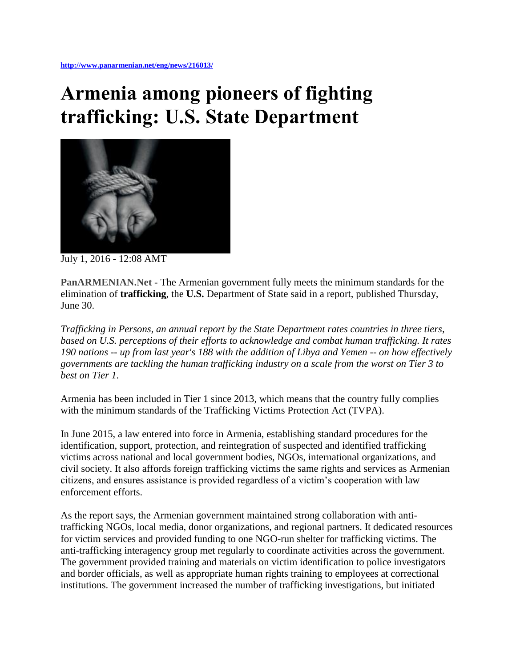## **Armenia among pioneers of fighting trafficking: U.S. State Department**



July 1, 2016 - 12:08 AMT

**PanARMENIAN.Net** - The Armenian government fully meets the minimum standards for the elimination of **trafficking**, the **U.S.** Department of State said in a report, published Thursday, June 30.

*Trafficking in Persons, an annual report by the State Department rates countries in three tiers, based on U.S. perceptions of their efforts to acknowledge and combat human trafficking. It rates 190 nations -- up from last year's 188 with the addition of Libya and Yemen -- on how effectively governments are tackling the human trafficking industry on a scale from the worst on Tier 3 to best on Tier 1.*

Armenia has been included in Tier 1 since 2013, which means that the country fully complies with the minimum standards of the Trafficking Victims Protection Act (TVPA).

In June 2015, a law entered into force in Armenia, establishing standard procedures for the identification, support, protection, and reintegration of suspected and identified trafficking victims across national and local government bodies, NGOs, international organizations, and civil society. It also affords foreign trafficking victims the same rights and services as Armenian citizens, and ensures assistance is provided regardless of a victim's cooperation with law enforcement efforts.

As the report says, the Armenian government maintained strong collaboration with antitrafficking NGOs, local media, donor organizations, and regional partners. It dedicated resources for victim services and provided funding to one NGO-run shelter for trafficking victims. The anti-trafficking interagency group met regularly to coordinate activities across the government. The government provided training and materials on victim identification to police investigators and border officials, as well as appropriate human rights training to employees at correctional institutions. The government increased the number of trafficking investigations, but initiated